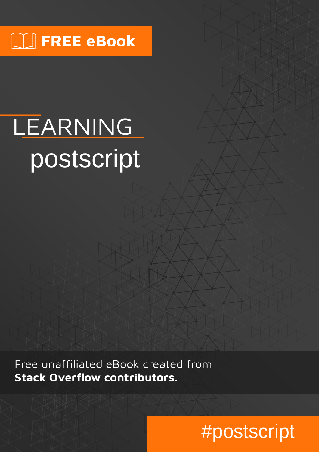# $\lfloor \rfloor$  FREE eBook

# LEARNING postscript

Free unaffiliated eBook created from **Stack Overflow contributors.** 

#postscript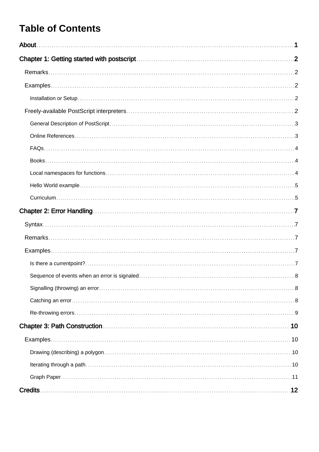### **Table of Contents**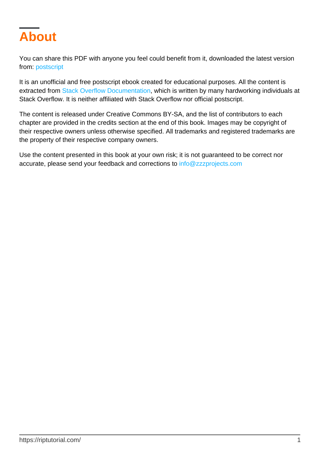<span id="page-2-0"></span>

You can share this PDF with anyone you feel could benefit from it, downloaded the latest version from: [postscript](http://riptutorial.com/ebook/postscript)

It is an unofficial and free postscript ebook created for educational purposes. All the content is extracted from [Stack Overflow Documentation,](https://archive.org/details/documentation-dump.7z) which is written by many hardworking individuals at Stack Overflow. It is neither affiliated with Stack Overflow nor official postscript.

The content is released under Creative Commons BY-SA, and the list of contributors to each chapter are provided in the credits section at the end of this book. Images may be copyright of their respective owners unless otherwise specified. All trademarks and registered trademarks are the property of their respective company owners.

Use the content presented in this book at your own risk; it is not guaranteed to be correct nor accurate, please send your feedback and corrections to [info@zzzprojects.com](mailto:info@zzzprojects.com)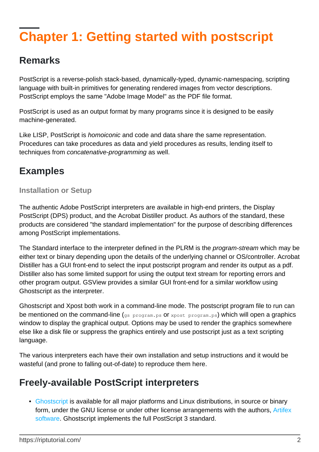# <span id="page-3-0"></span>**Chapter 1: Getting started with postscript**

### <span id="page-3-1"></span>**Remarks**

PostScript is a reverse-polish stack-based, dynamically-typed, dynamic-namespacing, scripting language with built-in primitives for generating rendered images from vector descriptions. PostScript employs the same "Adobe Image Model" as the PDF file format.

PostScript is used as an output format by many programs since it is designed to be easily machine-generated.

Like LISP, PostScript is homoiconic and code and data share the same representation. Procedures can take procedures as data and yield procedures as results, lending itself to techniques from concatenative-programming as well.

### <span id="page-3-2"></span>**Examples**

#### <span id="page-3-3"></span>**Installation or Setup**

The authentic Adobe PostScript interpreters are available in high-end printers, the Display PostScript (DPS) product, and the Acrobat Distiller product. As authors of the standard, these products are considered "the standard implementation" for the purpose of describing differences among PostScript implementations.

The Standard interface to the interpreter defined in the PLRM is the *program-stream* which may be either text or binary depending upon the details of the underlying channel or OS/controller. Acrobat Distiller has a GUI front-end to select the input postscript program and render its output as a pdf. Distiller also has some limited support for using the output text stream for reporting errors and other program output. GSView provides a similar GUI front-end for a similar workflow using Ghostscript as the interpreter.

Ghostscript and Xpost both work in a command-line mode. The postscript program file to run can be mentioned on the command-line  $(q_s$  program.ps or xpost program.ps) which will open a graphics window to display the graphical output. Options may be used to render the graphics somewhere else like a disk file or suppress the graphics entirely and use postscript just as a text scripting language.

The various interpreters each have their own installation and setup instructions and it would be wasteful (and prone to falling out-of-date) to reproduce them here.

### <span id="page-3-4"></span>**Freely-available PostScript interpreters**

• [Ghostscript](http://ghostscript.com/) is available for all major platforms and Linux distributions, in source or binary form, under the GNU license or under other license arrangements with the authors, [Artifex](http://ghostscript.com/Artifex_Software_Inc.html) [software](http://ghostscript.com/Artifex_Software_Inc.html). Ghostscript implements the full PostScript 3 standard.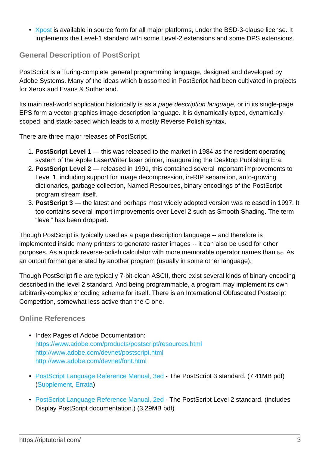• [Xpost](https://github.com/luser-dr00g/xpost) is available in source form for all major platforms, under the BSD-3-clause license. It implements the Level-1 standard with some Level-2 extensions and some DPS extensions.

#### <span id="page-4-0"></span>**General Description of PostScript**

PostScript is a Turing-complete general programming language, designed and developed by Adobe Systems. Many of the ideas which blossomed in PostScript had been cultivated in projects for Xerox and Evans & Sutherland.

Its main real-world application historically is as a page description language, or in its single-page EPS form a vector-graphics image-description language. It is dynamically-typed, dynamicallyscoped, and stack-based which leads to a mostly Reverse Polish syntax.

There are three major releases of PostScript.

- **PostScript Level 1** this was released to the market in 1984 as the resident operating 1. system of the Apple LaserWriter laser printer, inaugurating the Desktop Publishing Era.
- **PostScript Level 2** released in 1991, this contained several important improvements to 2. Level 1, including support for image decompression, in-RIP separation, auto-growing dictionaries, garbage collection, Named Resources, binary encodings of the PostScript program stream itself.
- **PostScript 3** the latest and perhaps most widely adopted version was released in 1997. It 3. too contains several import improvements over Level 2 such as Smooth Shading. The term "level" has been dropped.

Though PostScript is typically used as a page description language -- and therefore is implemented inside many printers to generate raster images -- it can also be used for other purposes. As a quick reverse-polish calculator with more memorable operator names than bc. As an output format generated by another program (usually in some other language).

Though PostScript file are typically 7-bit-clean ASCII, there exist several kinds of binary encoding described in the level 2 standard. And being programmable, a program may implement its own arbitrarily-complex encoding scheme for itself. There is an International Obfuscated Postscript Competition, somewhat less active than the C one.

#### <span id="page-4-1"></span>**Online References**

- Index Pages of Adobe Documentation: <https://www.adobe.com/products/postscript/resources.html> <http://www.adobe.com/devnet/postscript.html> <http://www.adobe.com/devnet/font.html>
- [PostScript Language Reference Manual, 3ed](https://www.adobe.com/products/postscript/pdfs/PLRM.pdf) The PostScript 3 standard. (7.41MB pdf) ([Supplement](http://wwwimages.adobe.com/content/dam/Adobe/en/devnet/postscript/pdfs/PS3010and3011.Supplement.pdf), [Errata](http://wwwimages.adobe.com/content/dam/Adobe/en/devnet/postscript/pdfs/PSerrata.txt))
- [PostScript Language Reference Manual, 2ed](http://wwwimages.adobe.com/content/dam/Adobe/en/devnet/postscript/pdfs/psrefman.pdf) The PostScript Level 2 standard. (includes Display PostScript documentation.) (3.29MB pdf)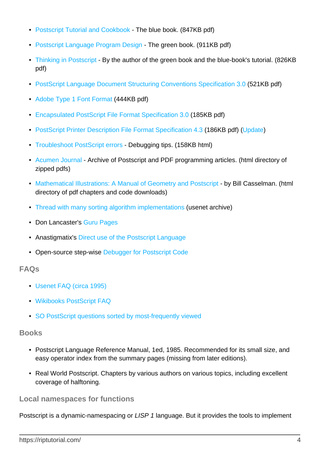- [Postscript Tutorial and Cookbook](http://www-cdf.fnal.gov/offline/PostScript/BLUEBOOK.PDF)  The blue book. (847KB pdf)
- [Postscript Language Program Design](http://www-cdf.fnal.gov/offline/PostScript/GREENBK.PDF) The green book. (911KB pdf)
- [Thinking in Postscript](http://wwwcdf.pd.infn.it/localdoc/tips.pdf) By the author of the green book and the blue-book's tutorial. (826KB pdf)
- [PostScript Language Document Structuring Conventions Speci](http://wwwimages.adobe.com/content/dam/Adobe/en/devnet/postscript/pdfs/5001.DSC_Spec.pdf)[fication 3.0](http://wwwimages.adobe.com/content/dam/Adobe/en/devnet/postscript/pdfs/5001.DSC_Spec.pdf) (521KB pdf)
- [Adobe Type 1 Font Format](http://wwwimages.adobe.com/content/dam/Adobe/en/devnet/font/pdfs/T1_SPEC.pdf) (444KB pdf)
- [Encapsulated PostScript File Format Speci](http://wwwimages.adobe.com/content/dam/Adobe/en/devnet/postscript/pdfs/5002.EPSF_Spec.pdf)[fication 3.0](http://wwwimages.adobe.com/content/dam/Adobe/en/devnet/postscript/pdfs/5002.EPSF_Spec.pdf) (185KB pdf)
- [PostScript Printer Description File Format Specification 4.3](http://wwwimages.adobe.com/content/dam/Adobe/en/devnet/postscript/pdfs/5003.PPD_Spec_v4.3.pdf) (186KB pdf) ([Update](http://wwwimages.adobe.com/content/dam/Adobe/en/devnet/postscript/pdfs/5645.PPD_Update.pdf))
- [Troubleshoot PostScript errors](http://helpx.adobe.com/x-productkb/global/troubleshoot-postscript-errors.html)  Debugging tips. (158KB html)
- [Acumen Journal](http://www.acumentraining.com/acumenjournal.html)  Archive of Postscript and PDF programming articles. (html directory of zipped pdfs)
- [Mathematical Illustrations: A Manual of Geometry and Postscript](http://www.math.ubc.ca/~cass/graphics/manual/) by Bill Casselman. (html directory of pdf chapters and code downloads)
- [Thread with many sorting algorithm implementations](https://groups.google.com/d/topic/comp.lang.postscript/p9gr6p-q3Gk/discussion) (usenet archive)
- Don Lancaster's [Guru Pages](http://www.tinaja.com/)
- Anastigmatix's [Direct use of the Postscript Language](http://www.anastigmatix.net/postscript/direct.html)
- Open-source step-wise [Debugger for Postscript Code](https://github.com/luser-dr00g/debug.ps)

#### <span id="page-5-0"></span>**FAQs**

- [Usenet FAQ \(circa 1995\)](ftp://ftp.cs.brown.edu/pub/comp.lang.postscript/FAQ.txt)
- [Wikibooks PostScript FAQ](http://en.wikibooks.org/wiki/PostScript_FAQ)
- [SO PostScript questions sorted by most-frequently viewed](http://stackoverflow.com/questions/tagged/postscript?sort=frequent)

#### <span id="page-5-1"></span>**Books**

- Postscript Language Reference Manual, 1ed, 1985. Recommended for its small size, and easy operator index from the summary pages (missing from later editions).
- Real World Postscript. Chapters by various authors on various topics, including excellent coverage of halftoning.

#### <span id="page-5-2"></span>**Local namespaces for functions**

Postscript is a dynamic-namespacing or *LISP 1* language. But it provides the tools to implement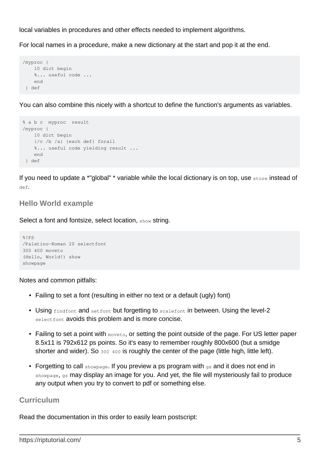local variables in procedures and other effects needed to implement algorithms.

For local names in a procedure, make a new dictionary at the start and pop it at the end.

```
/myproc {
     10 dict begin
     %... useful code ...
     end
  } def
```
You can also combine this nicely with a shortcut to define the function's arguments as variables.

```
% a b c myproc result
/myproc {
    10 dict begin
     {/c /b /a} {exch def} forall
     %... useful code yielding result ...
    end
  } def
```
If you need to update a \*"global" \* variable while the local dictionary is on top, use store instead of def.

#### <span id="page-6-0"></span>**Hello World example**

Select a font and fontsize, select location, show string.

```
%!PS
/Palatino-Roman 20 selectfont
300 400 moveto
(Hello, World!) show
showpage
```
Notes and common pitfalls:

- Failing to set a font (resulting in either no text or a default (ugly) font)
- Using findfont and setfont but forgetting to scalefont in between. Using the level-2 selectfont avoids this problem and is more concise.
- Failing to set a point with  $_{\text{move}}$ , or setting the point outside of the page. For US letter paper 8.5x11 is 792x612 ps points. So it's easy to remember roughly 800x600 (but a smidge shorter and wider). So 300 400 is roughly the center of the page (little high, little left).
- Forgetting to call showpage. If you preview a ps program with gs and it does not end in showpage, gs may display an image for you. And yet, the file will mysteriously fail to produce any output when you try to convert to pdf or something else.

#### <span id="page-6-1"></span>**Curriculum**

Read the documentation in this order to easily learn postscript: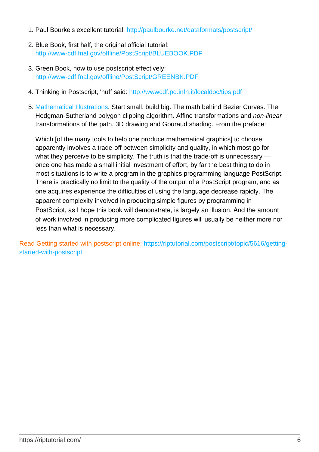- 1. Paul Bourke's excellent tutorial:<http://paulbourke.net/dataformats/postscript/>
- 2. Blue Book, first half, the original official tutorial: <http://www-cdf.fnal.gov/offline/PostScript/BLUEBOOK.PDF>
- 3. Green Book, how to use postscript effectively: <http://www-cdf.fnal.gov/offline/PostScript/GREENBK.PDF>
- 4. Thinking in Postscript, 'nuff said:<http://wwwcdf.pd.infn.it/localdoc/tips.pdf>
- 5. [Mathematical Illustrations](http://www.math.ubc.ca/~cass/graphics/manual/). Start small, build big. The math behind Bezier Curves. The Hodgman-Sutherland polygon clipping algorithm. Affine transformations and non-linear transformations of the path. 3D drawing and Gouraud shading. From the preface:

Which I of the many tools to help one produce mathematical graphics to choose apparently involves a trade-off between simplicity and quality, in which most go for what they perceive to be simplicity. The truth is that the trade-off is unnecessary once one has made a small initial investment of effort, by far the best thing to do in most situations is to write a program in the graphics programming language PostScript. There is practically no limit to the quality of the output of a PostScript program, and as one acquires experience the difficulties of using the language decrease rapidly. The apparent complexity involved in producing simple figures by programming in PostScript, as I hope this book will demonstrate, is largely an illusion. And the amount of work involved in producing more complicated figures will usually be neither more nor less than what is necessary.

Read Getting started with postscript online: [https://riptutorial.com/postscript/topic/5616/getting](https://riptutorial.com/postscript/topic/5616/getting-started-with-postscript)[started-with-postscript](https://riptutorial.com/postscript/topic/5616/getting-started-with-postscript)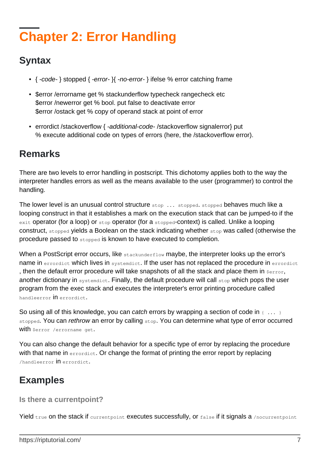# <span id="page-8-0"></span>**Chapter 2: Error Handling**

### <span id="page-8-1"></span>**Syntax**

- { -code- } stopped { -error- }{ -no-error- } ifelse % error catching frame
- \$error /errorname get % stackunderflow typecheck rangecheck etc \$error /newerror get % bool. put false to deactivate error \$error /ostack get % copy of operand stack at point of error
- errordict /stackoverflow { -additional-code- /stackoverflow signalerror} put % execute additional code on types of errors (here, the /stackoverflow error).

### <span id="page-8-2"></span>**Remarks**

There are two levels to error handling in postscript. This dichotomy applies both to the way the interpreter handles errors as well as the means available to the user (programmer) to control the handling.

The lower level is an unusual control structure stop ... stopped. stopped behaves much like a looping construct in that it establishes a mark on the execution stack that can be jumped-to if the exit operator (for a loop) or stop operator (for a stopped-context) is called. Unlike a looping construct, stopped yields a Boolean on the stack indicating whether stop was called (otherwise the procedure passed to stopped is known to have executed to completion.

When a PostScript error occurs, like stackunderflow maybe, the interpreter looks up the error's name in errordict which lives in systemdict. If the user has not replaced the procedure in errordict , then the default error procedure will take snapshots of all the stack and place them in  $\epsilon_{\text{error}}$ , another dictionary in systemdict. Finally, the default procedure will call stop which pops the user program from the exec stack and executes the interpreter's error printing procedure called handleerror in errordict.

So using all of this knowledge, you can catch errors by wrapping a section of code in  $\{\ldots\}$ stopped. You can rethrow an error by calling stop. You can determine what type of error occurred with \$error /errorname get.

You can also change the default behavior for a specific type of error by replacing the procedure with that name in errordict. Or change the format of printing the error report by replacing /handleerror in errordict.

### <span id="page-8-3"></span>**Examples**

#### <span id="page-8-4"></span>**Is there a currentpoint?**

Yield true on the stack if currentpoint executes successfully, or false if it signals a /nocurrentpoint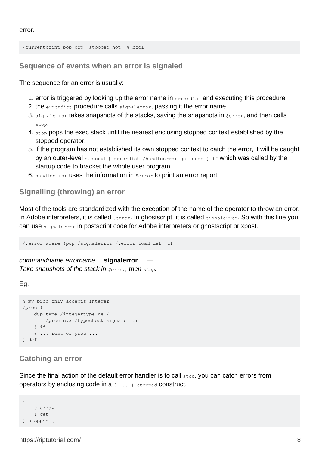error.

<span id="page-9-0"></span>{currentpoint pop pop} stopped not % bool

**Sequence of events when an error is signaled**

The sequence for an error is usually:

- 1. error is triggered by looking up the error name in errordict and executing this procedure.
- 2. the errordict procedure calls signalerror, passing it the error name.
- 3. signalerror takes snapshots of the stacks, saving the snapshots in  $s_{error}$ , and then calls stop.
- 4.  $\text{stop}$  pops the exec stack until the nearest enclosing stopped context established by the stopped operator.
- 5. if the program has not established its own stopped context to catch the error, it will be caught by an outer-level stopped { errordict /handleerror get exec } if which was called by the startup code to bracket the whole user program.
- 6. handleerror uses the information in  $serror$  to print an error report.

#### <span id="page-9-1"></span>**Signalling (throwing) an error**

Most of the tools are standardized with the exception of the name of the operator to throw an error. In Adobe interpreters, it is called . error. In ghostscript, it is called signalerror. So with this line you can use signalerror in postscript code for Adobe interpreters or ghostscript or xpost.

/.error where {pop /signalerror /.error load def} if

commandname errorname **signalerror** Take snapshots of the stack in *\$error*, then *stop*.

Eg.

```
% my proc only accepts integer
/proc {
    dup type /integertype ne {
        /proc cvx /typecheck signalerror
     } if
    % ... rest of proc ...
} def
```
#### <span id="page-9-2"></span>**Catching an error**

Since the final action of the default error handler is to call  $_{\text{stop}}$ , you can catch errors from operators by enclosing code in a { ... } stopped construct.

```
{
     0 array
    1 get
} stopped {
```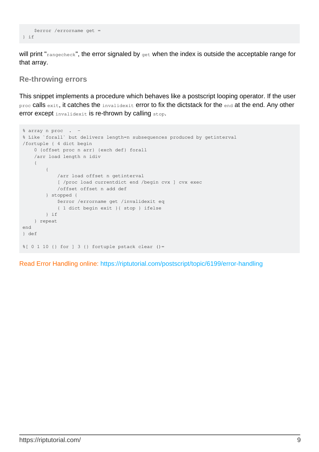```
 $error /errorname get =
} if
```
will print "rangecheck", the error signaled by get when the index is outside the acceptable range for that array.

#### <span id="page-10-0"></span>**Re-throwing errors**

This snippet implements a procedure which behaves like a postscript looping operator. If the user proc calls exit, it catches the invalidexit error to fix the dictstack for the end at the end. Any other error except *invalidexit* is re-thrown by calling stop.

```
% array n proc . -
% Like `forall` but delivers length=n subsequences produced by getinterval
/fortuple { 4 dict begin
     0 {offset proc n arr} {exch def} forall
     /arr load length n idiv
     {
         {
             /arr load offset n getinterval
             [ /proc load currentdict end /begin cvx ] cvx exec
             /offset offset n add def
         } stopped {
             $error /errorname get /invalidexit eq
             { 1 dict begin exit }{ stop } ifelse
         } if
     } repeat
end
} def
%[ 0 1 10 {} for ] 3 {} fortuple pstack clear ()=
```
Read Error Handling online:<https://riptutorial.com/postscript/topic/6199/error-handling>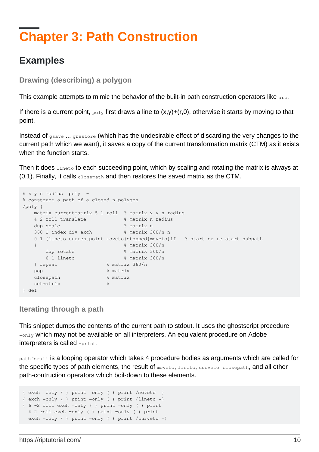## <span id="page-11-0"></span>**Chapter 3: Path Construction**

### <span id="page-11-1"></span>**Examples**

<span id="page-11-2"></span>**Drawing (describing) a polygon**

This example attempts to mimic the behavior of the built-in path construction operators like arc.

If there is a current point,  $_{\text{poly}}$  first draws a line to  $(x,y)+(r,0)$ , otherwise it starts by moving to that point.

Instead of gsave ... grestore (which has the undesirable effect of discarding the very changes to the current path which we want), it saves a copy of the current transformation matrix (CTM) as it exists when the function starts.

Then it does lineto to each succeeding point, which by scaling and rotating the matrix is always at  $(0,1)$ . Finally, it calls closepath and then restores the saved matrix as the CTM.

```
% x y n radius poly -
% construct a path of a closed n-polygon
/poly {
   matrix currentmatrix 5 1 roll % matrix x y n radius
    4 2 roll translate % matrix n radius
   dup scale \frac{1}{2} matrix n
    360 1 index div exch % matrix 360/n n
    0 1 {lineto currentpoint moveto}stopped{moveto}if % start or re-start subpath
  \{ \% matrix 360/n
     dup rotate \frac{1}{2} % matrix 360/n
     0 1 lineto % matrix 360/n
    } repeat % matrix 360/n
  pop 8 matrix
   closepath % matrix
  setmatrix \frac{1}{8}} def
```
<span id="page-11-3"></span>**Iterating through a path**

This snippet dumps the contents of the current path to stdout. It uses the ghostscript procedure  $=$ only which may not be available on all interpreters. An equivalent procedure on Adobe interpreters is called =print.

pathforall is a looping operator which takes 4 procedure bodies as arguments which are called for the specific types of path elements, the result of moveto, lineto, curveto, closepath, and all other path-contruction operators which boil-down to these elements.

```
\{ \text{exch} = \text{only} \} print =only ( ) print /moveto =}
{ exch =only ( ) print =only ( ) print /lineto =}
{ 6 -2 roll exch =only ( ) print =only ( ) print
  4 2 roll exch =only ( ) print =only ( ) print
  exch =only ( ) print =only ( ) print /curveto =}
```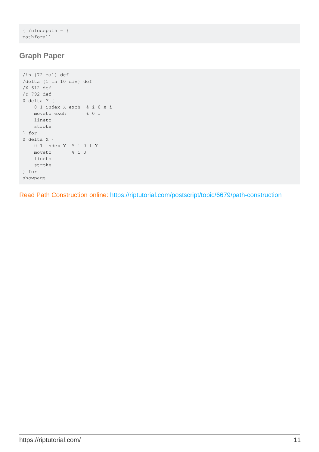```
{ /closepath = }
pathforall
```
#### <span id="page-12-0"></span>**Graph Paper**

```
/in {72 mul} def
/delta {1 in 10 div} def
/X 612 def
/Y 792 def
0 delta Y {
    0 1 index X exch % i 0 X i
    moveto exch % 0 i
    lineto
    stroke
} for
0 delta X {
   0 1 index Y % i 0 i Y
    moveto % i 0
    lineto
    stroke
} for
showpage
```
Read Path Construction online:<https://riptutorial.com/postscript/topic/6679/path-construction>